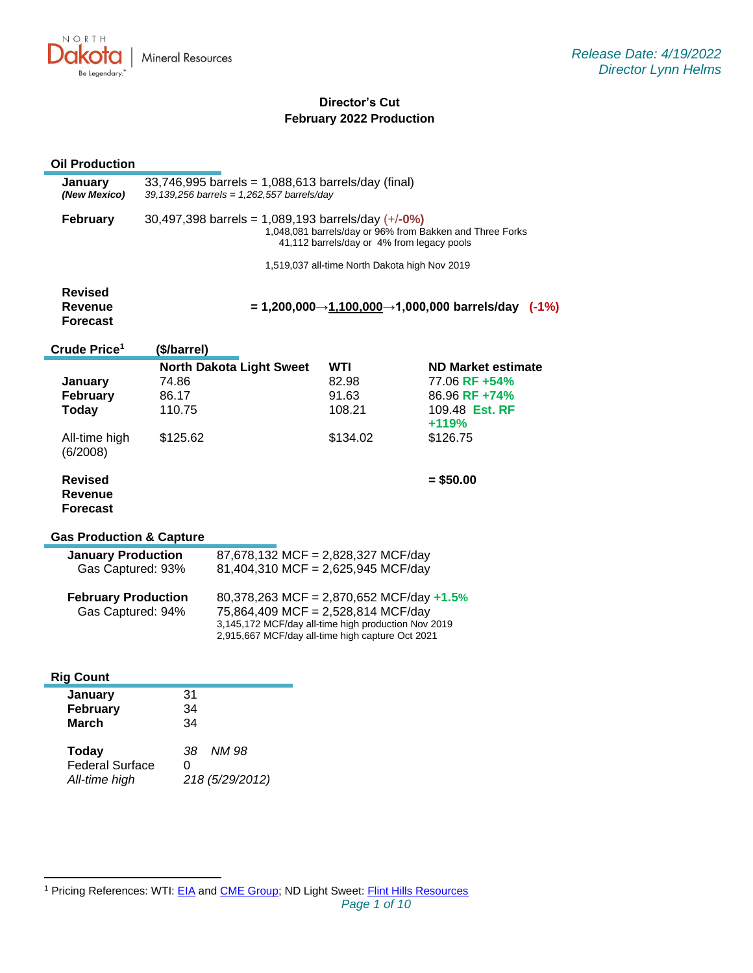

# **Director's Cut February 2022 Production**

# **Oil Production**

| ווטווסטוסטור                                                                                         |                                                                                                                                                                |                                                                          |                                               |                                                                                                                  |  |
|------------------------------------------------------------------------------------------------------|----------------------------------------------------------------------------------------------------------------------------------------------------------------|--------------------------------------------------------------------------|-----------------------------------------------|------------------------------------------------------------------------------------------------------------------|--|
| January<br>(New Mexico)                                                                              | $33,746,995$ barrels = 1,088,613 barrels/day (final)<br>39, 139, 256 barrels = $1,262,557$ barrels/day                                                         |                                                                          |                                               |                                                                                                                  |  |
| <b>February</b>                                                                                      | $30,497,398$ barrels = 1,089,193 barrels/day (+/-0%)<br>1,048,081 barrels/day or 96% from Bakken and Three Forks<br>41,112 barrels/day or 4% from legacy pools |                                                                          |                                               |                                                                                                                  |  |
|                                                                                                      |                                                                                                                                                                |                                                                          | 1,519,037 all-time North Dakota high Nov 2019 |                                                                                                                  |  |
| <b>Revised</b><br>Revenue<br><b>Forecast</b>                                                         |                                                                                                                                                                |                                                                          |                                               | = 1,200,000→1,100,000→1,000,000 barrels/day<br>$(-1%)$                                                           |  |
| Crude Price <sup>1</sup>                                                                             | (\$/barrel)                                                                                                                                                    |                                                                          |                                               |                                                                                                                  |  |
| <b>January</b><br><b>February</b><br>Today<br>All-time high<br>(6/2008)<br><b>Revised</b><br>Revenue | 74.86<br>86.17<br>110.75<br>\$125.62                                                                                                                           | <b>North Dakota Light Sweet</b>                                          | WTI<br>82.98<br>91.63<br>108.21<br>\$134.02   | <b>ND Market estimate</b><br>77.06 RF +54%<br>86.96 RF +74%<br>109.48 Est. RF<br>+119%<br>\$126.75<br>$= $50.00$ |  |
| <b>Forecast</b><br><b>Gas Production &amp; Capture</b>                                               |                                                                                                                                                                |                                                                          |                                               |                                                                                                                  |  |
| <b>January Production</b><br>Gas Captured: 93%                                                       |                                                                                                                                                                | 87,678,132 MCF = 2,828,327 MCF/day<br>81,404,310 MCF = 2,625,945 MCF/day |                                               |                                                                                                                  |  |
| February Production                                                                                  |                                                                                                                                                                | $R$ 378 263 MCE - 2.870 652 MCE/day +1.5%                                |                                               |                                                                                                                  |  |

| <b>February Production</b> | 80,378,263 MCF = 2,870,652 MCF/day $+1.5\%$         |
|----------------------------|-----------------------------------------------------|
| Gas Captured: 94%          | 75,864,409 MCF = 2,528,814 MCF/day                  |
|                            | 3,145,172 MCF/day all-time high production Nov 2019 |
|                            | 2,915,667 MCF/day all-time high capture Oct 2021    |
|                            |                                                     |

| <b>Rig Count</b>                                        |                                      |
|---------------------------------------------------------|--------------------------------------|
| January<br>February<br><b>March</b>                     | 31<br>34<br>34                       |
| <b>Today</b><br><b>Federal Surface</b><br>All-time high | NM 98<br>38.<br>O<br>218 (5/29/2012) |

<sup>1</sup> Pricing References: WTI: [EIA](https://www.eia.gov/dnav/pet/hist/LeafHandler.ashx?n=PET&s=RCLC1&f=M) and [CME Group;](https://www.cmegroup.com/trading/energy/crude-oil/light-sweet-crude.html) ND Light Sweet: [Flint Hills Resources](https://www.fhr.com/products-services/fuels-and-aromatics)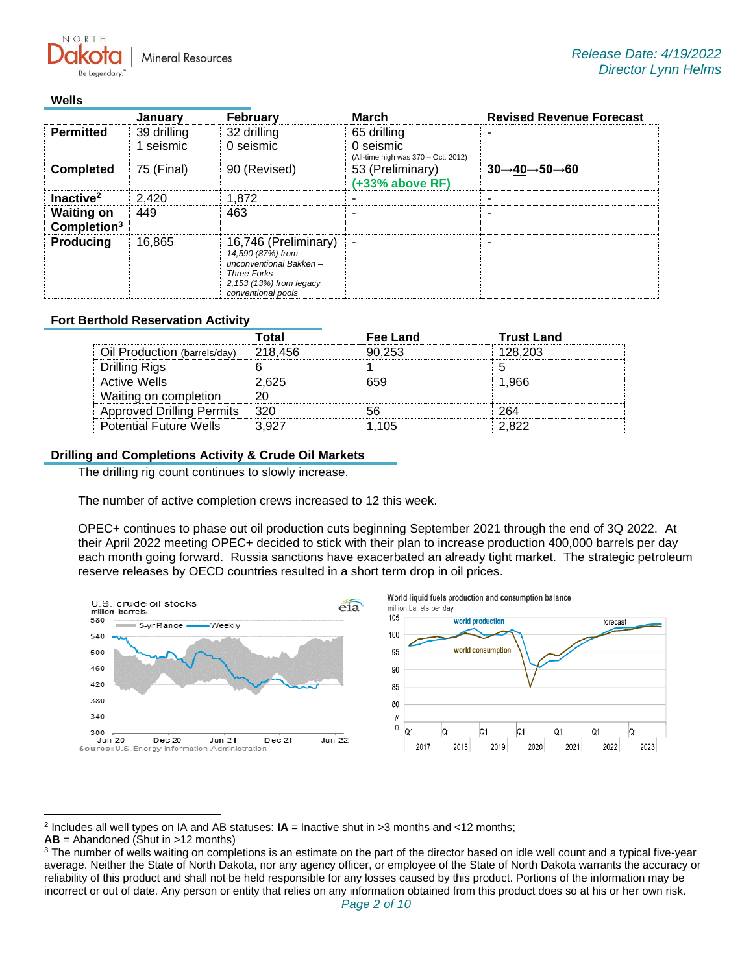**Mineral Resources** 

#### **Wells**

NORTH

|                                              | January                | <b>February</b>                                                                                                                            | <b>March</b>                                                                               | <b>Revised Revenue Forecast</b> |
|----------------------------------------------|------------------------|--------------------------------------------------------------------------------------------------------------------------------------------|--------------------------------------------------------------------------------------------|---------------------------------|
| <b>Permitted</b>                             | 39 drilling<br>seismic | 32 drilling<br>0 seismic                                                                                                                   | 65 drilling<br>0 seismic<br>(All-time high was 370 - Oct. 2012)                            |                                 |
| <b>Completed</b>                             | 75 (Final)             | 90 (Revised)                                                                                                                               | 53 (Preliminary)<br>$30 \rightarrow 40 \rightarrow 50 \rightarrow 60$<br>$(+33%$ above RF) |                                 |
| Inactive <sup>2</sup>                        | 2,420                  | 1,872                                                                                                                                      | $\overline{\phantom{a}}$                                                                   |                                 |
| <b>Waiting on</b><br>Completion <sup>3</sup> | 449                    | 463                                                                                                                                        | -                                                                                          |                                 |
| <b>Producing</b><br>16,865                   |                        | 16,746 (Preliminary)<br>14,590 (87%) from<br>unconventional Bakken-<br><b>Three Forks</b><br>2,153 (13%) from legacy<br>conventional pools | $\blacksquare$                                                                             |                                 |

#### **Fort Berthold Reservation Activity**

|                                  | Total   | Fee Land | <b>Trust Land</b> |
|----------------------------------|---------|----------|-------------------|
| Oil Production (barrels/day)     | 218.456 | 90.253   | 128.203           |
| Drilling Rigs                    |         |          |                   |
| Active Wells                     | 2.625   | 659      | 1.966             |
| Waiting on completion            | 20      |          |                   |
| <b>Approved Drilling Permits</b> | -320    | 56       | 264               |
| <b>Potential Future Wells</b>    | 3.927   | 1 105    | 2.822             |

#### **Drilling and Completions Activity & Crude Oil Markets**

The drilling rig count continues to slowly increase.

The number of active completion crews increased to 12 this week.

OPEC+ continues to phase out oil production cuts beginning September 2021 through the end of 3Q 2022. At their April 2022 meeting OPEC+ decided to stick with their plan to increase production 400,000 barrels per day each month going forward. Russia sanctions have exacerbated an already tight market. The strategic petroleum reserve releases by OECD countries resulted in a short term drop in oil prices.



**AB** = Abandoned (Shut in >12 months)

<sup>2</sup> Includes all well types on IA and AB statuses: **IA** = Inactive shut in >3 months and <12 months;

<sup>&</sup>lt;sup>3</sup> The number of wells waiting on completions is an estimate on the part of the director based on idle well count and a typical five-year average. Neither the State of North Dakota, nor any agency officer, or employee of the State of North Dakota warrants the accuracy or reliability of this product and shall not be held responsible for any losses caused by this product. Portions of the information may be incorrect or out of date. Any person or entity that relies on any information obtained from this product does so at his or her own risk.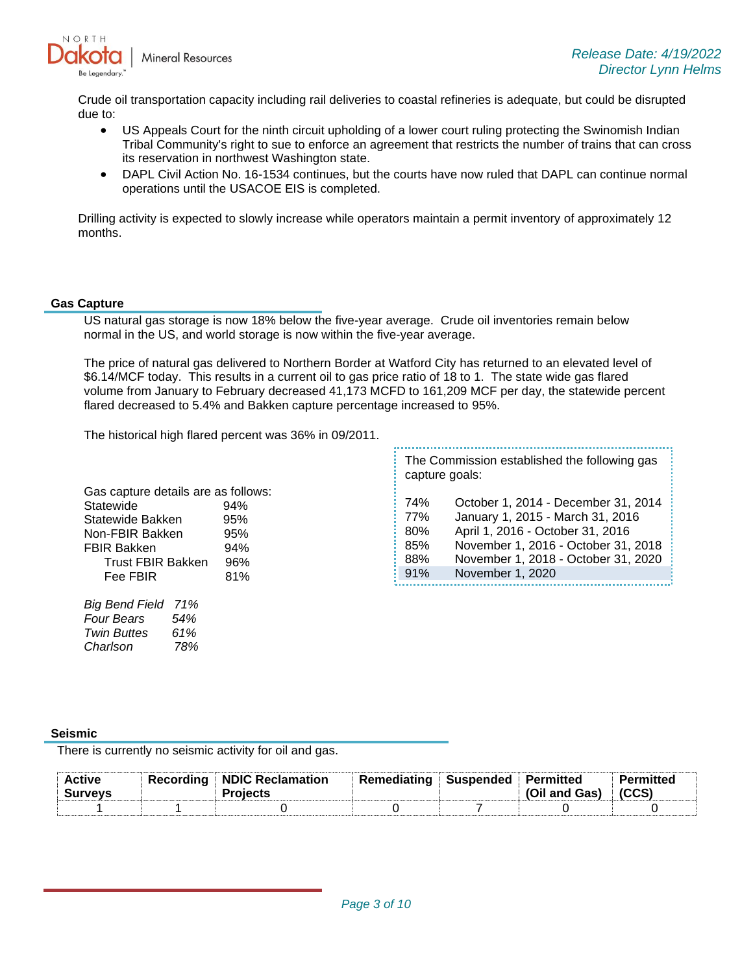

Crude oil transportation capacity including rail deliveries to coastal refineries is adequate, but could be disrupted due to:

- US Appeals Court for the ninth circuit upholding of a lower court ruling protecting the Swinomish Indian Tribal Community's right to sue to enforce an agreement that restricts the number of trains that can cross its reservation in northwest Washington state.
- DAPL Civil Action No. 16-1534 continues, but the courts have now ruled that DAPL can continue normal operations until the USACOE EIS is completed.

Drilling activity is expected to slowly increase while operators maintain a permit inventory of approximately 12 months.

#### **Gas Capture**

US natural gas storage is now 18% below the five-year average. Crude oil inventories remain below normal in the US, and world storage is now within the five-year average.

The price of natural gas delivered to Northern Border at Watford City has returned to an elevated level of \$6.14/MCF today. This results in a current oil to gas price ratio of 18 to 1. The state wide gas flared volume from January to February decreased 41,173 MCFD to 161,209 MCF per day, the statewide percent flared decreased to 5.4% and Bakken capture percentage increased to 95%.

L

The historical high flared percent was 36% in 09/2011.

| Gas capture details are as follows: |     |  |  |  |  |  |
|-------------------------------------|-----|--|--|--|--|--|
| Statewide                           | 94% |  |  |  |  |  |
| Statewide Bakken                    | 95% |  |  |  |  |  |
| Non-FBIR Bakken                     | 95% |  |  |  |  |  |
| <b>FBIR Bakken</b>                  | 94% |  |  |  |  |  |
| <b>Trust FBIR Bakken</b>            | 96% |  |  |  |  |  |
| Fee FBIR                            | 81% |  |  |  |  |  |
|                                     |     |  |  |  |  |  |

| Big Bend Field 71% |     |
|--------------------|-----|
| Four Bears         | 54% |
| <b>Twin Buttes</b> | 61% |
| Charlson           | 78% |

The Commission established the following gas capture goals:

| 74% | October 1, 2014 - December 31, 2014 |
|-----|-------------------------------------|
| 77% | January 1, 2015 - March 31, 2016    |
| 80% | April 1, 2016 - October 31, 2016    |
| 85% | November 1, 2016 - October 31, 2018 |
| 88% | November 1, 2018 - October 31, 2020 |
| 91% | November 1, 2020                    |
|     |                                     |

### **Seismic**

There is currently no seismic activity for oil and gas.

| <b>Active</b><br><b>Surveys</b> | Recordina | NDIC Reclamation<br><b>Projects</b> | Remediating | $\parallel$ Suspended $\parallel$ Permitted | (Oil and Gas) | Permitted<br>(CCS) |
|---------------------------------|-----------|-------------------------------------|-------------|---------------------------------------------|---------------|--------------------|
|                                 |           |                                     |             |                                             |               |                    |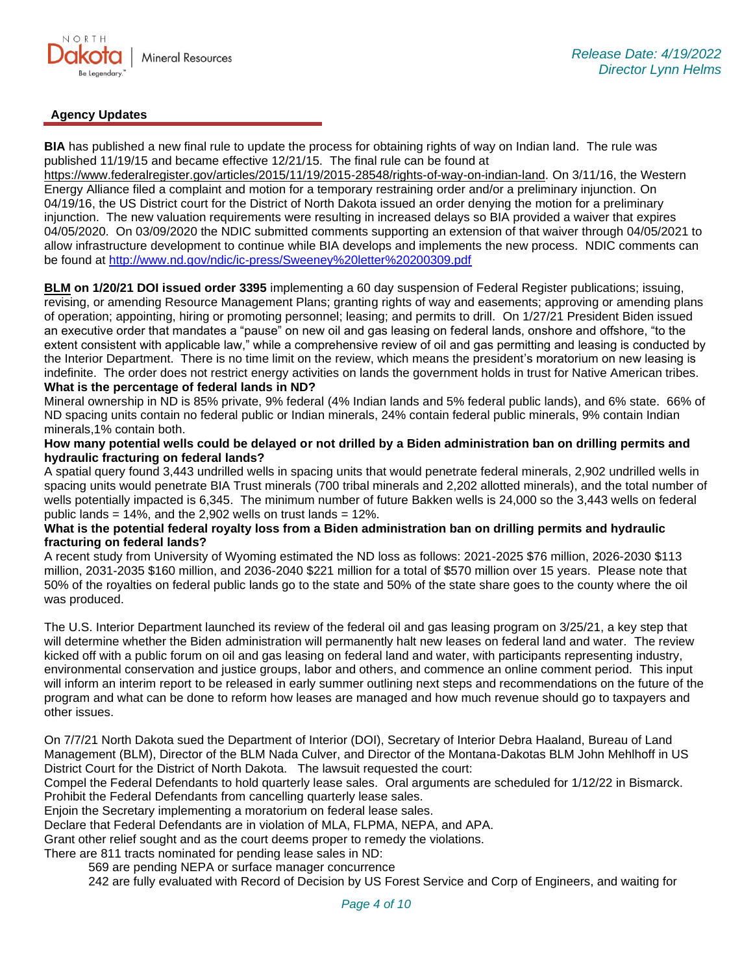

# **Agency Updates**

**BIA** has published a new final rule to update the process for obtaining rights of way on Indian land. The rule was published 11/19/15 and became effective 12/21/15. The final rule can be found at

[https://www.federalregister.gov/articles/2015/11/19/2015-28548/rights-of-way-on-indian-land.](https://gcc02.safelinks.protection.outlook.com/?url=https%3A%2F%2Fwww.federalregister.gov%2Farticles%2F2015%2F11%2F19%2F2015-28548%2Frights-of-way-on-indian-land&data=05%7C01%7Ckahaarsager%40nd.gov%7Ced4efbd3ecb54725900b08da22250ec8%7C2dea0464da514a88bae2b3db94bc0c54%7C0%7C0%7C637859839801922059%7CUnknown%7CTWFpbGZsb3d8eyJWIjoiMC4wLjAwMDAiLCJQIjoiV2luMzIiLCJBTiI6Ik1haWwiLCJXVCI6Mn0%3D%7C3000%7C%7C%7C&sdata=7BXV1EMIDeVzngKS7fOVfGBbGrhIqeJwghkrFajAOYg%3D&reserved=0) On 3/11/16, the Western Energy Alliance filed a complaint and motion for a temporary restraining order and/or a preliminary injunction. On 04/19/16, the US District court for the District of North Dakota issued an order denying the motion for a preliminary injunction. The new valuation requirements were resulting in increased delays so BIA provided a waiver that expires 04/05/2020. On 03/09/2020 the NDIC submitted comments supporting an extension of that waiver through 04/05/2021 to allow infrastructure development to continue while BIA develops and implements the new process. NDIC comments can be found at<http://www.nd.gov/ndic/ic-press/Sweeney%20letter%20200309.pdf>

**BLM on 1/20/21 DOI issued order 3395** implementing a 60 day suspension of Federal Register publications; issuing, revising, or amending Resource Management Plans; granting rights of way and easements; approving or amending plans of operation; appointing, hiring or promoting personnel; leasing; and permits to drill. On 1/27/21 President Biden issued an executive order that mandates a "pause" on new oil and gas leasing on federal lands, onshore and offshore, "to the extent consistent with applicable law," while a comprehensive review of oil and gas permitting and leasing is conducted by the Interior Department. There is no time limit on the review, which means the president's moratorium on new leasing is indefinite. The order does not restrict energy activities on lands the government holds in trust for Native American tribes. **What is the percentage of federal lands in ND?**

Mineral ownership in ND is 85% private, 9% federal (4% Indian lands and 5% federal public lands), and 6% state. 66% of ND spacing units contain no federal public or Indian minerals, 24% contain federal public minerals, 9% contain Indian minerals,1% contain both.

#### **How many potential wells could be delayed or not drilled by a Biden administration ban on drilling permits and hydraulic fracturing on federal lands?**

A spatial query found 3,443 undrilled wells in spacing units that would penetrate federal minerals, 2,902 undrilled wells in spacing units would penetrate BIA Trust minerals (700 tribal minerals and 2,202 allotted minerals), and the total number of wells potentially impacted is 6,345. The minimum number of future Bakken wells is 24,000 so the 3,443 wells on federal public lands =  $14\%$ , and the 2,902 wells on trust lands =  $12\%$ .

#### **What is the potential federal royalty loss from a Biden administration ban on drilling permits and hydraulic fracturing on federal lands?**

A recent study from University of Wyoming estimated the ND loss as follows: 2021-2025 \$76 million, 2026-2030 \$113 million, 2031-2035 \$160 million, and 2036-2040 \$221 million for a total of \$570 million over 15 years. Please note that 50% of the royalties on federal public lands go to the state and 50% of the state share goes to the county where the oil was produced.

The U.S. Interior Department launched its review of the federal oil and gas leasing program on 3/25/21, a key step that will determine whether the Biden administration will permanently halt new leases on federal land and water. The review kicked off with a public forum on oil and gas leasing on federal land and water, with participants representing industry, environmental conservation and justice groups, labor and others, and commence an online comment period. This input will inform an interim report to be released in early summer outlining next steps and recommendations on the future of the program and what can be done to reform how leases are managed and how much revenue should go to taxpayers and other issues.

On 7/7/21 North Dakota sued the Department of Interior (DOI), Secretary of Interior Debra Haaland, Bureau of Land Management (BLM), Director of the BLM Nada Culver, and Director of the Montana-Dakotas BLM John Mehlhoff in US District Court for the District of North Dakota. The lawsuit requested the court:

Compel the Federal Defendants to hold quarterly lease sales. Oral arguments are scheduled for 1/12/22 in Bismarck. Prohibit the Federal Defendants from cancelling quarterly lease sales.

Enjoin the Secretary implementing a moratorium on federal lease sales.

Declare that Federal Defendants are in violation of MLA, FLPMA, NEPA, and APA.

Grant other relief sought and as the court deems proper to remedy the violations.

There are 811 tracts nominated for pending lease sales in ND:

569 are pending NEPA or surface manager concurrence

242 are fully evaluated with Record of Decision by US Forest Service and Corp of Engineers, and waiting for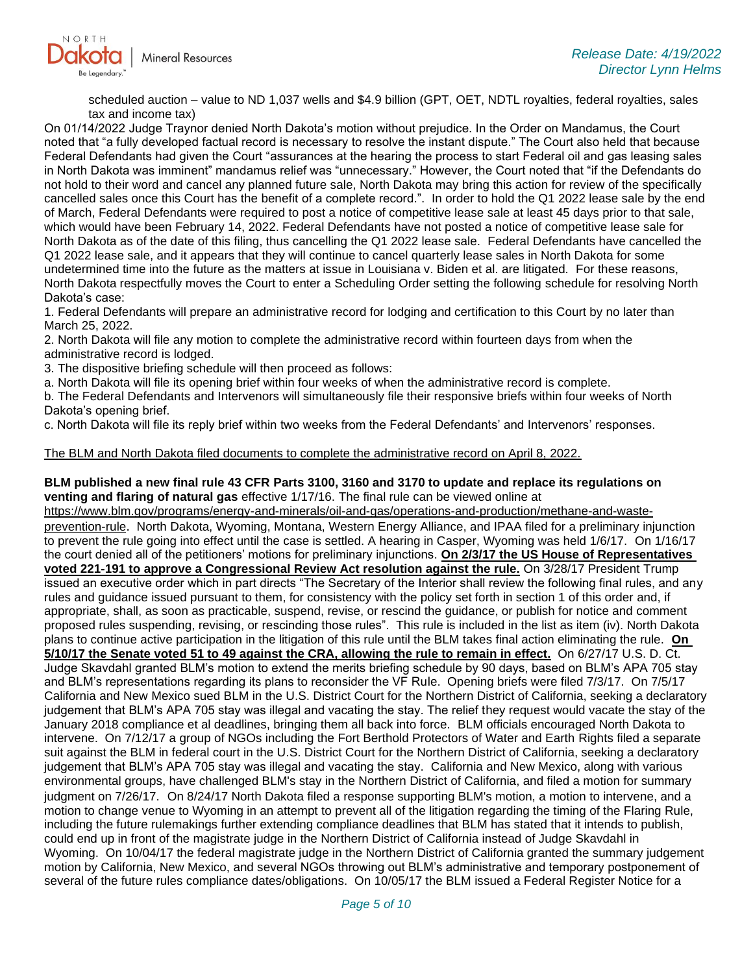

scheduled auction – value to ND 1,037 wells and \$4.9 billion (GPT, OET, NDTL royalties, federal royalties, sales tax and income tax)

On 01/14/2022 Judge Traynor denied North Dakota's motion without prejudice. In the Order on Mandamus, the Court noted that "a fully developed factual record is necessary to resolve the instant dispute." The Court also held that because Federal Defendants had given the Court "assurances at the hearing the process to start Federal oil and gas leasing sales in North Dakota was imminent" mandamus relief was "unnecessary." However, the Court noted that "if the Defendants do not hold to their word and cancel any planned future sale, North Dakota may bring this action for review of the specifically cancelled sales once this Court has the benefit of a complete record.". In order to hold the Q1 2022 lease sale by the end of March, Federal Defendants were required to post a notice of competitive lease sale at least 45 days prior to that sale, which would have been February 14, 2022. Federal Defendants have not posted a notice of competitive lease sale for North Dakota as of the date of this filing, thus cancelling the Q1 2022 lease sale. Federal Defendants have cancelled the Q1 2022 lease sale, and it appears that they will continue to cancel quarterly lease sales in North Dakota for some undetermined time into the future as the matters at issue in Louisiana v. Biden et al. are litigated. For these reasons, North Dakota respectfully moves the Court to enter a Scheduling Order setting the following schedule for resolving North Dakota's case:

1. Federal Defendants will prepare an administrative record for lodging and certification to this Court by no later than March 25, 2022.

2. North Dakota will file any motion to complete the administrative record within fourteen days from when the administrative record is lodged.

3. The dispositive briefing schedule will then proceed as follows:

a. North Dakota will file its opening brief within four weeks of when the administrative record is complete.

b. The Federal Defendants and Intervenors will simultaneously file their responsive briefs within four weeks of North Dakota's opening brief.

c. North Dakota will file its reply brief within two weeks from the Federal Defendants' and Intervenors' responses.

### The BLM and North Dakota filed documents to complete the administrative record on April 8, 2022.

#### **BLM published a new final rule 43 CFR Parts 3100, 3160 and 3170 to update and replace its regulations on venting and flaring of natural gas** effective 1/17/16. The final rule can be viewed online at

[https://www.blm.gov/programs/energy-and-minerals/oil-and-gas/operations-and-production/methane-and-waste](https://gcc02.safelinks.protection.outlook.com/?url=https%3A%2F%2Fwww.blm.gov%2Fprograms%2Fenergy-and-minerals%2Foil-and-gas%2Foperations-and-production%2Fmethane-and-waste-prevention-rule&data=05%7C01%7Ckahaarsager%40nd.gov%7Ced4efbd3ecb54725900b08da22250ec8%7C2dea0464da514a88bae2b3db94bc0c54%7C0%7C0%7C637859839801922059%7CUnknown%7CTWFpbGZsb3d8eyJWIjoiMC4wLjAwMDAiLCJQIjoiV2luMzIiLCJBTiI6Ik1haWwiLCJXVCI6Mn0%3D%7C3000%7C%7C%7C&sdata=bXVvkv5IIHczL2oYrCRNS%2FJsLMxPaQZ7ezK8hSs78%2FQ%3D&reserved=0)[prevention-rule](https://gcc02.safelinks.protection.outlook.com/?url=https%3A%2F%2Fwww.blm.gov%2Fprograms%2Fenergy-and-minerals%2Foil-and-gas%2Foperations-and-production%2Fmethane-and-waste-prevention-rule&data=05%7C01%7Ckahaarsager%40nd.gov%7Ced4efbd3ecb54725900b08da22250ec8%7C2dea0464da514a88bae2b3db94bc0c54%7C0%7C0%7C637859839801922059%7CUnknown%7CTWFpbGZsb3d8eyJWIjoiMC4wLjAwMDAiLCJQIjoiV2luMzIiLCJBTiI6Ik1haWwiLCJXVCI6Mn0%3D%7C3000%7C%7C%7C&sdata=bXVvkv5IIHczL2oYrCRNS%2FJsLMxPaQZ7ezK8hSs78%2FQ%3D&reserved=0). North Dakota, Wyoming, Montana, Western Energy Alliance, and IPAA filed for a preliminary injunction to prevent the rule going into effect until the case is settled. A hearing in Casper, Wyoming was held 1/6/17. On 1/16/17 the court denied all of the petitioners' motions for preliminary injunctions. **On 2/3/17 the US House of Representatives voted 221-191 to approve a Congressional Review Act resolution against the rule.** On 3/28/17 President Trump issued an executive order which in part directs "The Secretary of the Interior shall review the following final rules, and any rules and guidance issued pursuant to them, for consistency with the policy set forth in section 1 of this order and, if appropriate, shall, as soon as practicable, suspend, revise, or rescind the guidance, or publish for notice and comment proposed rules suspending, revising, or rescinding those rules". This rule is included in the list as item (iv). North Dakota plans to continue active participation in the litigation of this rule until the BLM takes final action eliminating the rule. **On 5/10/17 the Senate voted 51 to 49 against the CRA, allowing the rule to remain in effect.** On 6/27/17 U.S. D. Ct. Judge Skavdahl granted BLM's motion to extend the merits briefing schedule by 90 days, based on BLM's APA 705 stay and BLM's representations regarding its plans to reconsider the VF Rule. Opening briefs were filed 7/3/17. On 7/5/17 California and New Mexico sued BLM in the U.S. District Court for the Northern District of California, seeking a declaratory judgement that BLM's APA 705 stay was illegal and vacating the stay. The relief they request would vacate the stay of the January 2018 compliance et al deadlines, bringing them all back into force. BLM officials encouraged North Dakota to intervene. On 7/12/17 a group of NGOs including the Fort Berthold Protectors of Water and Earth Rights filed a separate suit against the BLM in federal court in the U.S. District Court for the Northern District of California, seeking a declaratory judgement that BLM's APA 705 stay was illegal and vacating the stay. California and New Mexico, along with various environmental groups, have challenged BLM's stay in the Northern District of California, and filed a motion for summary judgment on 7/26/17. On 8/24/17 North Dakota filed a response supporting BLM's motion, a motion to intervene, and a motion to change venue to Wyoming in an attempt to prevent all of the litigation regarding the timing of the Flaring Rule, including the future rulemakings further extending compliance deadlines that BLM has stated that it intends to publish, could end up in front of the magistrate judge in the Northern District of California instead of Judge Skavdahl in Wyoming. On 10/04/17 the federal magistrate judge in the Northern District of California granted the summary judgement motion by California, New Mexico, and several NGOs throwing out BLM's administrative and temporary postponement of several of the future rules compliance dates/obligations. On 10/05/17 the BLM issued a Federal Register Notice for a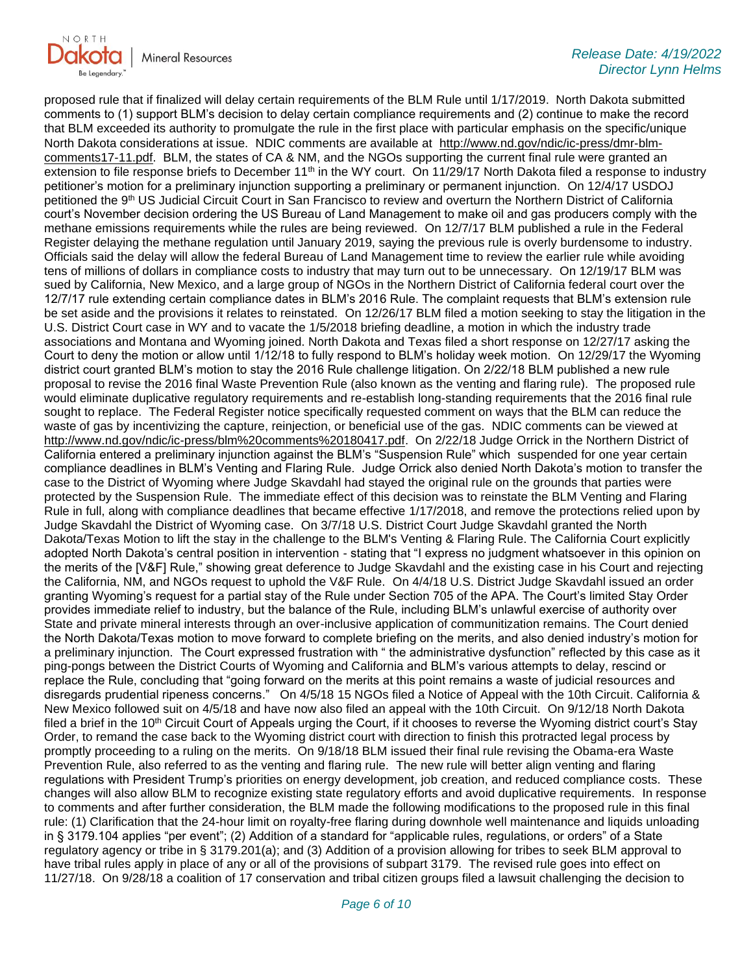

proposed rule that if finalized will delay certain requirements of the BLM Rule until 1/17/2019. North Dakota submitted comments to (1) support BLM's decision to delay certain compliance requirements and (2) continue to make the record that BLM exceeded its authority to promulgate the rule in the first place with particular emphasis on the specific/unique North Dakota considerations at issue. NDIC comments are available at [http://www.nd.gov/ndic/ic-press/dmr-blm](http://www.nd.gov/ndic/ic-press/dmr-blm-comments17-11.pdf)[comments17-11.pdf.](http://www.nd.gov/ndic/ic-press/dmr-blm-comments17-11.pdf) BLM, the states of CA & NM, and the NGOs supporting the current final rule were granted an extension to file response briefs to December 11<sup>th</sup> in the WY court. On 11/29/17 North Dakota filed a response to industry petitioner's motion for a preliminary injunction supporting a preliminary or permanent injunction. On 12/4/17 USDOJ petitioned the 9<sup>th</sup> US Judicial Circuit Court in San Francisco to review and overturn the Northern District of California court's November decision ordering the US Bureau of Land Management to make oil and gas producers comply with the methane emissions requirements while the rules are being reviewed. On 12/7/17 BLM published a rule in the Federal Register delaying the methane regulation until January 2019, saying the previous rule is overly burdensome to industry. Officials said the delay will allow the federal Bureau of Land Management time to review the earlier rule while avoiding tens of millions of dollars in compliance costs to industry that may turn out to be unnecessary. On 12/19/17 BLM was sued by California, New Mexico, and a large group of NGOs in the Northern District of California federal court over the 12/7/17 rule extending certain compliance dates in BLM's 2016 Rule. The complaint requests that BLM's extension rule be set aside and the provisions it relates to reinstated. On 12/26/17 BLM filed a motion seeking to stay the litigation in the U.S. District Court case in WY and to vacate the 1/5/2018 briefing deadline, a motion in which the industry trade associations and Montana and Wyoming joined. North Dakota and Texas filed a short response on 12/27/17 asking the Court to deny the motion or allow until 1/12/18 to fully respond to BLM's holiday week motion. On 12/29/17 the Wyoming district court granted BLM's motion to stay the 2016 Rule challenge litigation. On 2/22/18 BLM published a new rule proposal to revise the 2016 final Waste Prevention Rule (also known as the venting and flaring rule). The proposed rule would eliminate duplicative regulatory requirements and re-establish long-standing requirements that the 2016 final rule sought to replace. The Federal Register notice specifically requested comment on ways that the BLM can reduce the waste of gas by incentivizing the capture, reinjection, or beneficial use of the gas. NDIC comments can be viewed at [http://www.nd.gov/ndic/ic-press/blm%20comments%20180417.pdf.](http://www.nd.gov/ndic/ic-press/blm%20comments%20180417.pdf) On 2/22/18 Judge Orrick in the Northern District of California entered a preliminary injunction against the BLM's "Suspension Rule" which suspended for one year certain compliance deadlines in BLM's Venting and Flaring Rule. Judge Orrick also denied North Dakota's motion to transfer the case to the District of Wyoming where Judge Skavdahl had stayed the original rule on the grounds that parties were protected by the Suspension Rule. The immediate effect of this decision was to reinstate the BLM Venting and Flaring Rule in full, along with compliance deadlines that became effective 1/17/2018, and remove the protections relied upon by Judge Skavdahl the District of Wyoming case. On 3/7/18 U.S. District Court Judge Skavdahl granted the North Dakota/Texas Motion to lift the stay in the challenge to the BLM's Venting & Flaring Rule. The California Court explicitly adopted North Dakota's central position in intervention - stating that "I express no judgment whatsoever in this opinion on the merits of the [V&F] Rule," showing great deference to Judge Skavdahl and the existing case in his Court and rejecting the California, NM, and NGOs request to uphold the V&F Rule. On 4/4/18 U.S. District Judge Skavdahl issued an order granting Wyoming's request for a partial stay of the Rule under Section 705 of the APA. The Court's limited Stay Order provides immediate relief to industry, but the balance of the Rule, including BLM's unlawful exercise of authority over State and private mineral interests through an over-inclusive application of communitization remains. The Court denied the North Dakota/Texas motion to move forward to complete briefing on the merits, and also denied industry's motion for a preliminary injunction. The Court expressed frustration with " the administrative dysfunction" reflected by this case as it ping-pongs between the District Courts of Wyoming and California and BLM's various attempts to delay, rescind or replace the Rule, concluding that "going forward on the merits at this point remains a waste of judicial resources and disregards prudential ripeness concerns." On 4/5/18 15 NGOs filed a Notice of Appeal with the 10th Circuit. California & New Mexico followed suit on 4/5/18 and have now also filed an appeal with the 10th Circuit. On 9/12/18 North Dakota filed a brief in the 10<sup>th</sup> Circuit Court of Appeals urging the Court, if it chooses to reverse the Wyoming district court's Stay Order, to remand the case back to the Wyoming district court with direction to finish this protracted legal process by promptly proceeding to a ruling on the merits. On 9/18/18 BLM issued their final rule revising the Obama-era Waste Prevention Rule, also referred to as the venting and flaring rule. The new rule will better align venting and flaring regulations with President Trump's priorities on energy development, job creation, and reduced compliance costs. These changes will also allow BLM to recognize existing state regulatory efforts and avoid duplicative requirements. In response to comments and after further consideration, the BLM made the following modifications to the proposed rule in this final rule: (1) Clarification that the 24-hour limit on royalty-free flaring during downhole well maintenance and liquids unloading in § 3179.104 applies "per event"; (2) Addition of a standard for "applicable rules, regulations, or orders" of a State regulatory agency or tribe in § 3179.201(a); and (3) Addition of a provision allowing for tribes to seek BLM approval to have tribal rules apply in place of any or all of the provisions of subpart 3179. The revised rule goes into effect on 11/27/18. On 9/28/18 a coalition of 17 conservation and tribal citizen groups filed a lawsuit challenging the decision to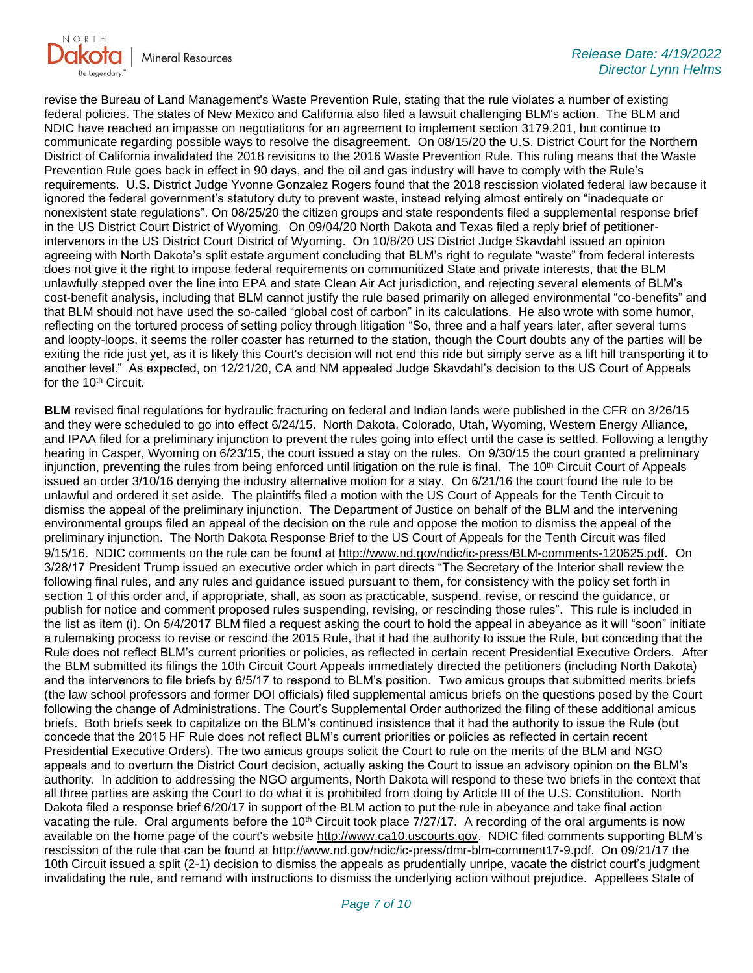

revise the Bureau of Land Management's Waste Prevention Rule, stating that the rule violates a number of existing federal policies. The states of New Mexico and California also filed a lawsuit challenging BLM's action. The BLM and NDIC have reached an impasse on negotiations for an agreement to implement section 3179.201, but continue to communicate regarding possible ways to resolve the disagreement. On 08/15/20 the U.S. District Court for the Northern District of California invalidated the 2018 revisions to the 2016 Waste Prevention Rule. This ruling means that the Waste Prevention Rule goes back in effect in 90 days, and the oil and gas industry will have to comply with the Rule's requirements. U.S. District Judge Yvonne Gonzalez Rogers found that the 2018 rescission violated federal law because it ignored the federal government's statutory duty to prevent waste, instead relying almost entirely on "inadequate or nonexistent state regulations". On 08/25/20 the citizen groups and state respondents filed a supplemental response brief in the US District Court District of Wyoming. On 09/04/20 North Dakota and Texas filed a reply brief of petitionerintervenors in the US District Court District of Wyoming. On 10/8/20 US District Judge Skavdahl issued an opinion agreeing with North Dakota's split estate argument concluding that BLM's right to regulate "waste" from federal interests does not give it the right to impose federal requirements on communitized State and private interests, that the BLM unlawfully stepped over the line into EPA and state Clean Air Act jurisdiction, and rejecting several elements of BLM's cost-benefit analysis, including that BLM cannot justify the rule based primarily on alleged environmental "co-benefits" and that BLM should not have used the so-called "global cost of carbon" in its calculations. He also wrote with some humor, reflecting on the tortured process of setting policy through litigation "So, three and a half years later, after several turns and loopty-loops, it seems the roller coaster has returned to the station, though the Court doubts any of the parties will be exiting the ride just yet, as it is likely this Court's decision will not end this ride but simply serve as a lift hill transporting it to another level." As expected, on 12/21/20, CA and NM appealed Judge Skavdahl's decision to the US Court of Appeals for the 10<sup>th</sup> Circuit.

**BLM** revised final regulations for hydraulic fracturing on federal and Indian lands were published in the CFR on 3/26/15 and they were scheduled to go into effect 6/24/15. North Dakota, Colorado, Utah, Wyoming, Western Energy Alliance, and IPAA filed for a preliminary injunction to prevent the rules going into effect until the case is settled. Following a lengthy hearing in Casper, Wyoming on 6/23/15, the court issued a stay on the rules. On 9/30/15 the court granted a preliminary injunction, preventing the rules from being enforced until litigation on the rule is final. The 10<sup>th</sup> Circuit Court of Appeals issued an order 3/10/16 denying the industry alternative motion for a stay. On 6/21/16 the court found the rule to be unlawful and ordered it set aside. The plaintiffs filed a motion with the US Court of Appeals for the Tenth Circuit to dismiss the appeal of the preliminary injunction. The Department of Justice on behalf of the BLM and the intervening environmental groups filed an appeal of the decision on the rule and oppose the motion to dismiss the appeal of the preliminary injunction. The North Dakota Response Brief to the US Court of Appeals for the Tenth Circuit was filed 9/15/16. NDIC comments on the rule can be found at<http://www.nd.gov/ndic/ic-press/BLM-comments-120625.pdf>. On 3/28/17 President Trump issued an executive order which in part directs "The Secretary of the Interior shall review the following final rules, and any rules and guidance issued pursuant to them, for consistency with the policy set forth in section 1 of this order and, if appropriate, shall, as soon as practicable, suspend, revise, or rescind the guidance, or publish for notice and comment proposed rules suspending, revising, or rescinding those rules". This rule is included in the list as item (i). On 5/4/2017 BLM filed a request asking the court to hold the appeal in abeyance as it will "soon" initiate a rulemaking process to revise or rescind the 2015 Rule, that it had the authority to issue the Rule, but conceding that the Rule does not reflect BLM's current priorities or policies, as reflected in certain recent Presidential Executive Orders. After the BLM submitted its filings the 10th Circuit Court Appeals immediately directed the petitioners (including North Dakota) and the intervenors to file briefs by 6/5/17 to respond to BLM's position. Two amicus groups that submitted merits briefs (the law school professors and former DOI officials) filed supplemental amicus briefs on the questions posed by the Court following the change of Administrations. The Court's Supplemental Order authorized the filing of these additional amicus briefs. Both briefs seek to capitalize on the BLM's continued insistence that it had the authority to issue the Rule (but concede that the 2015 HF Rule does not reflect BLM's current priorities or policies as reflected in certain recent Presidential Executive Orders). The two amicus groups solicit the Court to rule on the merits of the BLM and NGO appeals and to overturn the District Court decision, actually asking the Court to issue an advisory opinion on the BLM's authority. In addition to addressing the NGO arguments, North Dakota will respond to these two briefs in the context that all three parties are asking the Court to do what it is prohibited from doing by Article III of the U.S. Constitution. North Dakota filed a response brief 6/20/17 in support of the BLM action to put the rule in abeyance and take final action vacating the rule. Oral arguments before the 10<sup>th</sup> Circuit took place 7/27/17. A recording of the oral arguments is now available on the home page of the court's website [http://www.ca10.uscourts.gov.](https://urldefense.proofpoint.com/v2/url?u=http-3A__www.ca10.uscourts.gov&d=DwMGaQ&c=2s2mvbfY0UoSKkl6_Ol9wg&r=-wqsZnBxny594KY8HeElow&m=Ul_VtJUX6iW5pvHjCcBxUWtskC0F4Dhry3sPtcEHvCw&s=laRHiLDv5w8otcQWQjpn82WMieoB2AZ-Q4M1LFQPL5s&e=) NDIC filed comments supporting BLM's rescission of the rule that can be found at [http://www.nd.gov/ndic/ic-press/dmr-blm-comment17-9.pdf.](http://www.nd.gov/ndic/ic-press/dmr-blm-comment17-9.pdf) On 09/21/17 the 10th Circuit issued a split (2-1) decision to dismiss the appeals as prudentially unripe, vacate the district court's judgment invalidating the rule, and remand with instructions to dismiss the underlying action without prejudice. Appellees State of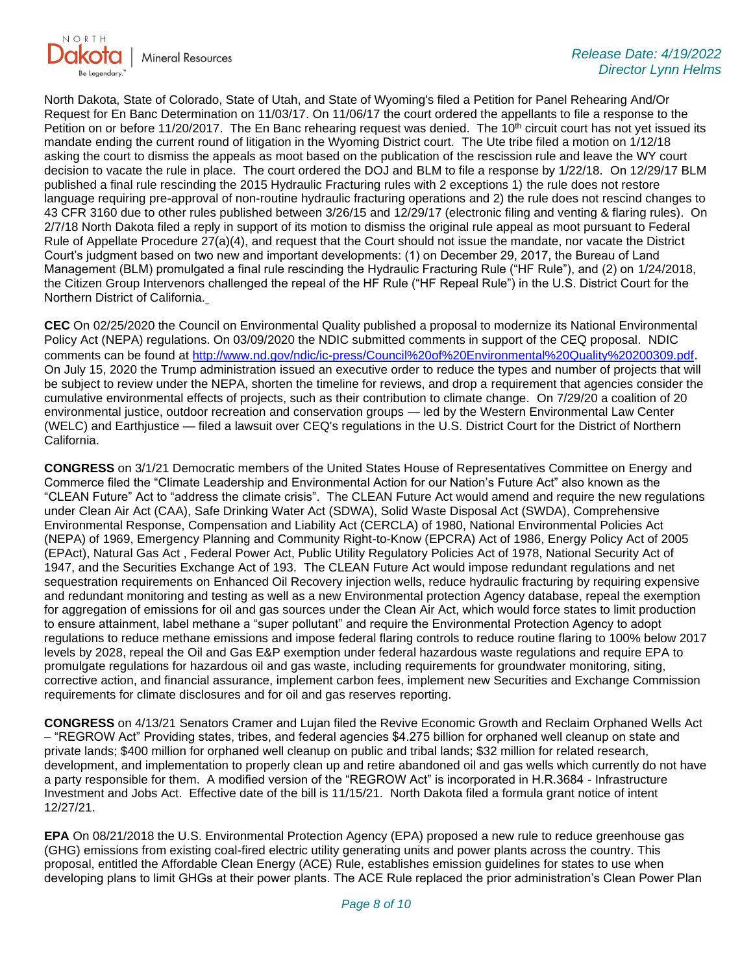

North Dakota, State of Colorado, State of Utah, and State of Wyoming's filed a Petition for Panel Rehearing And/Or Request for En Banc Determination on 11/03/17. On 11/06/17 the court ordered the appellants to file a response to the Petition on or before 11/20/2017. The En Banc rehearing request was denied. The  $10<sup>th</sup>$  circuit court has not yet issued its mandate ending the current round of litigation in the Wyoming District court. The Ute tribe filed a motion on 1/12/18 asking the court to dismiss the appeals as moot based on the publication of the rescission rule and leave the WY court decision to vacate the rule in place. The court ordered the DOJ and BLM to file a response by 1/22/18. On 12/29/17 BLM published a final rule rescinding the 2015 Hydraulic Fracturing rules with 2 exceptions 1) the rule does not restore language requiring pre-approval of non-routine hydraulic fracturing operations and 2) the rule does not rescind changes to 43 CFR 3160 due to other rules published between 3/26/15 and 12/29/17 (electronic filing and venting & flaring rules). On 2/7/18 North Dakota filed a reply in support of its motion to dismiss the original rule appeal as moot pursuant to Federal Rule of Appellate Procedure 27(a)(4), and request that the Court should not issue the mandate, nor vacate the District Court's judgment based on two new and important developments: (1) on December 29, 2017, the Bureau of Land Management (BLM) promulgated a final rule rescinding the Hydraulic Fracturing Rule ("HF Rule"), and (2) on 1/24/2018, the Citizen Group Intervenors challenged the repeal of the HF Rule ("HF Repeal Rule") in the U.S. District Court for the Northern District of California.

**CEC** On 02/25/2020 the Council on Environmental Quality published a proposal to modernize its National Environmental Policy Act (NEPA) regulations. On 03/09/2020 the NDIC submitted comments in support of the CEQ proposal. NDIC comments can be found at<http://www.nd.gov/ndic/ic-press/Council%20of%20Environmental%20Quality%20200309.pdf>. On July 15, 2020 the Trump administration issued an executive order to reduce the types and number of projects that will be subject to review under the NEPA, shorten the timeline for reviews, and drop a requirement that agencies consider the cumulative environmental effects of projects, such as their contribution to climate change. On 7/29/20 a coalition of 20 environmental justice, outdoor recreation and conservation groups — led by the Western Environmental Law Center (WELC) and Earthjustice — filed a lawsuit over CEQ's regulations in the U.S. District Court for the District of Northern California.

**CONGRESS** on 3/1/21 Democratic members of the United States House of Representatives Committee on Energy and Commerce filed the "Climate Leadership and Environmental Action for our Nation's Future Act" also known as the "CLEAN Future" Act to "address the climate crisis". The CLEAN Future Act would amend and require the new regulations under Clean Air Act (CAA), Safe Drinking Water Act (SDWA), Solid Waste Disposal Act (SWDA), Comprehensive Environmental Response, Compensation and Liability Act (CERCLA) of 1980, National Environmental Policies Act (NEPA) of 1969, Emergency Planning and Community Right-to-Know (EPCRA) Act of 1986, Energy Policy Act of 2005 (EPAct), Natural Gas Act , Federal Power Act, Public Utility Regulatory Policies Act of 1978, National Security Act of 1947, and the Securities Exchange Act of 193. The CLEAN Future Act would impose redundant regulations and net sequestration requirements on Enhanced Oil Recovery injection wells, reduce hydraulic fracturing by requiring expensive and redundant monitoring and testing as well as a new Environmental protection Agency database, repeal the exemption for aggregation of emissions for oil and gas sources under the Clean Air Act, which would force states to limit production to ensure attainment, label methane a "super pollutant" and require the Environmental Protection Agency to adopt regulations to reduce methane emissions and impose federal flaring controls to reduce routine flaring to 100% below 2017 levels by 2028, repeal the Oil and Gas E&P exemption under federal hazardous waste regulations and require EPA to promulgate regulations for hazardous oil and gas waste, including requirements for groundwater monitoring, siting, corrective action, and financial assurance, implement carbon fees, implement new Securities and Exchange Commission requirements for climate disclosures and for oil and gas reserves reporting.

**CONGRESS** on 4/13/21 Senators Cramer and Lujan filed the Revive Economic Growth and Reclaim Orphaned Wells Act – "REGROW Act" Providing states, tribes, and federal agencies \$4.275 billion for orphaned well cleanup on state and private lands; \$400 million for orphaned well cleanup on public and tribal lands; \$32 million for related research, development, and implementation to properly clean up and retire abandoned oil and gas wells which currently do not have a party responsible for them. A modified version of the "REGROW Act" is incorporated in H.R.3684 - Infrastructure Investment and Jobs Act. Effective date of the bill is 11/15/21. North Dakota filed a formula grant notice of intent 12/27/21.

**EPA** On 08/21/2018 the U.S. Environmental Protection Agency (EPA) proposed a new rule to reduce greenhouse gas (GHG) emissions from existing coal-fired electric utility generating units and power plants across the country. This proposal, entitled the Affordable Clean Energy (ACE) Rule, establishes emission guidelines for states to use when developing plans to limit GHGs at their power plants. The ACE Rule replaced the prior administration's Clean Power Plan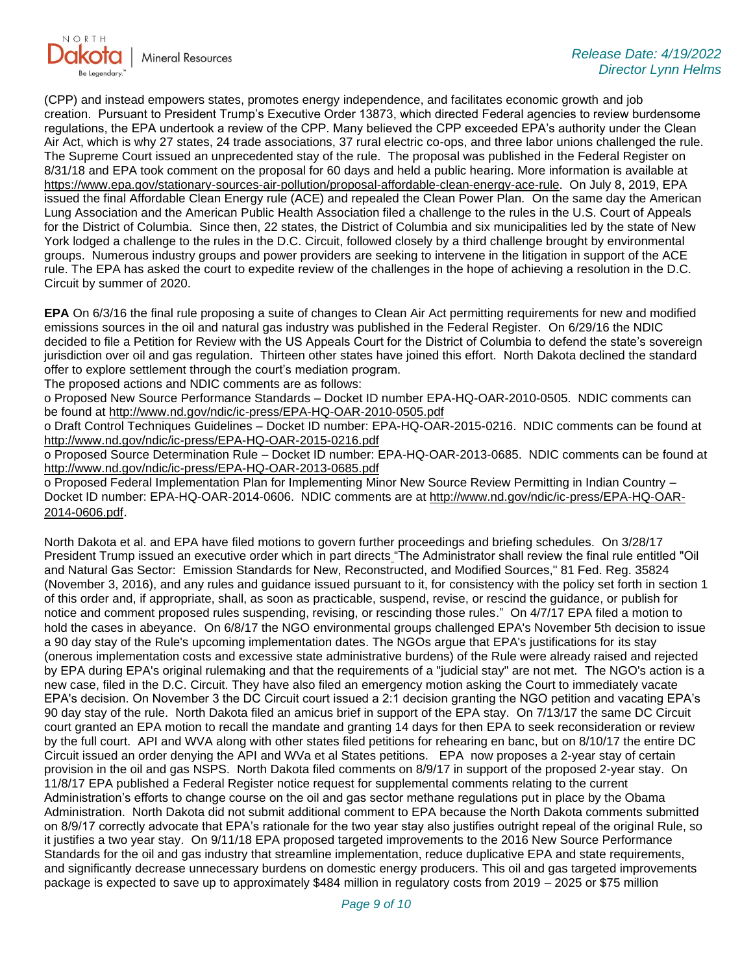

(CPP) and instead empowers states, promotes energy independence, and facilitates economic growth and job creation. Pursuant to President Trump's Executive Order 13873, which directed Federal agencies to review burdensome regulations, the EPA undertook a review of the CPP. Many believed the CPP exceeded EPA's authority under the Clean Air Act, which is why 27 states, 24 trade associations, 37 rural electric co-ops, and three labor unions challenged the rule. The Supreme Court issued an unprecedented stay of the rule. The proposal was published in the Federal Register on 8/31/18 and EPA took comment on the proposal for 60 days and held a public hearing. More information is available at [https://www.epa.gov/stationary-sources-air-pollution/proposal-affordable-clean-energy-ace-rule.](https://gcc02.safelinks.protection.outlook.com/?url=https%3A%2F%2Fwww.epa.gov%2Fstationary-sources-air-pollution%2Fproposal-affordable-clean-energy-ace-rule&data=05%7C01%7Ckahaarsager%40nd.gov%7Ced4efbd3ecb54725900b08da22250ec8%7C2dea0464da514a88bae2b3db94bc0c54%7C0%7C0%7C637859839801922059%7CUnknown%7CTWFpbGZsb3d8eyJWIjoiMC4wLjAwMDAiLCJQIjoiV2luMzIiLCJBTiI6Ik1haWwiLCJXVCI6Mn0%3D%7C3000%7C%7C%7C&sdata=c7q9WmcPK%2B5qaD2DmSBXbGZBT%2B5Cz%2FV726ABV55zH2Y%3D&reserved=0) On July 8, 2019, EPA issued the final Affordable Clean Energy rule (ACE) and repealed the Clean Power Plan. On the same day the American Lung Association and the American Public Health Association filed a challenge to the rules in the U.S. Court of Appeals for the District of Columbia. Since then, 22 states, the District of Columbia and six municipalities led by the state of New York lodged a challenge to the rules in the D.C. Circuit, followed closely by a third challenge brought by environmental groups. Numerous industry groups and power providers are seeking to intervene in the litigation in support of the ACE rule. The EPA has asked the court to expedite review of the challenges in the hope of achieving a resolution in the D.C. Circuit by summer of 2020.

**EPA** On 6/3/16 the final rule proposing a suite of changes to Clean Air Act permitting requirements for new and modified emissions sources in the oil and natural gas industry was published in the Federal Register. On 6/29/16 the NDIC decided to file a Petition for Review with the US Appeals Court for the District of Columbia to defend the state's sovereign jurisdiction over oil and gas regulation. Thirteen other states have joined this effort. North Dakota declined the standard offer to explore settlement through the court's mediation program.

The proposed actions and NDIC comments are as follows:

o Proposed New Source Performance Standards – Docket ID number EPA-HQ-OAR-2010-0505. NDIC comments can be found at<http://www.nd.gov/ndic/ic-press/EPA-HQ-OAR-2010-0505.pdf>

o Draft Control Techniques Guidelines – Docket ID number: EPA-HQ-OAR-2015-0216. NDIC comments can be found at <http://www.nd.gov/ndic/ic-press/EPA-HQ-OAR-2015-0216.pdf>

o Proposed Source Determination Rule – Docket ID number: EPA-HQ-OAR-2013-0685. NDIC comments can be found at <http://www.nd.gov/ndic/ic-press/EPA-HQ-OAR-2013-0685.pdf>

o Proposed Federal Implementation Plan for Implementing Minor New Source Review Permitting in Indian Country – Docket ID number: EPA-HQ-OAR-2014-0606. NDIC comments are at [http://www.nd.gov/ndic/ic-press/EPA-HQ-OAR-](http://www.nd.gov/ndic/ic-press/EPA-HQ-OAR-2014-0606.pdf)[2014-0606.pdf](http://www.nd.gov/ndic/ic-press/EPA-HQ-OAR-2014-0606.pdf).

North Dakota et al. and EPA have filed motions to govern further proceedings and briefing schedules. On 3/28/17 President Trump issued an executive order which in part directs "The Administrator shall review the final rule entitled "Oil and Natural Gas Sector: Emission Standards for New, Reconstructed, and Modified Sources," 81 Fed. Reg. 35824 (November 3, 2016), and any rules and guidance issued pursuant to it, for consistency with the policy set forth in section 1 of this order and, if appropriate, shall, as soon as practicable, suspend, revise, or rescind the guidance, or publish for notice and comment proposed rules suspending, revising, or rescinding those rules." On 4/7/17 EPA filed a motion to hold the cases in abeyance. On 6/8/17 the NGO environmental groups challenged EPA's November 5th decision to issue a 90 day stay of the Rule's upcoming implementation dates. The NGOs argue that EPA's justifications for its stay (onerous implementation costs and excessive state administrative burdens) of the Rule were already raised and rejected by EPA during EPA's original rulemaking and that the requirements of a "judicial stay" are not met. The NGO's action is a new case, filed in the D.C. Circuit. They have also filed an emergency motion asking the Court to immediately vacate EPA's decision. On November 3 the DC Circuit court issued a 2:1 decision granting the NGO petition and vacating EPA's 90 day stay of the rule. North Dakota filed an amicus brief in support of the EPA stay. On 7/13/17 the same DC Circuit court granted an EPA motion to recall the mandate and granting 14 days for then EPA to seek reconsideration or review by the full court. API and WVA along with other states filed petitions for rehearing en banc, but on 8/10/17 the entire DC Circuit issued an order denying the API and WVa et al States petitions. EPA now proposes a 2-year stay of certain provision in the oil and gas NSPS. North Dakota filed comments on 8/9/17 in support of the proposed 2-year stay. On 11/8/17 EPA published a Federal Register notice request for supplemental comments relating to the current Administration's efforts to change course on the oil and gas sector methane regulations put in place by the Obama Administration. North Dakota did not submit additional comment to EPA because the North Dakota comments submitted on 8/9/17 correctly advocate that EPA's rationale for the two year stay also justifies outright repeal of the original Rule, so it justifies a two year stay. On 9/11/18 EPA proposed targeted improvements to the 2016 New Source Performance Standards for the oil and gas industry that streamline implementation, reduce duplicative EPA and state requirements, and significantly decrease unnecessary burdens on domestic energy producers. This oil and gas targeted improvements package is expected to save up to approximately \$484 million in regulatory costs from 2019 – 2025 or \$75 million